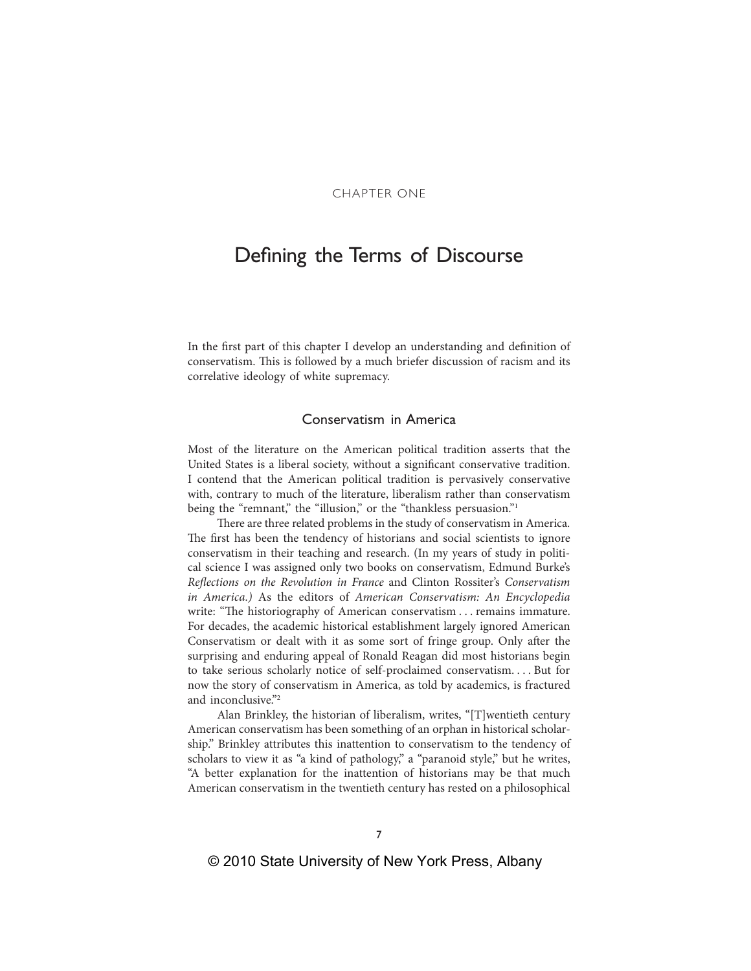#### CHAPTER ONE

# Defining the Terms of Discourse

In the first part of this chapter I develop an understanding and definition of conservatism. This is followed by a much briefer discussion of racism and its correlative ideology of white supremacy.

#### Conservatism in America

Most of the literature on the American political tradition asserts that the United States is a liberal society, without a significant conservative tradition. I contend that the American political tradition is pervasively conservative with, contrary to much of the literature, liberalism rather than conservatism being the "remnant," the "illusion," or the "thankless persuasion."<sup>1</sup>

There are three related problems in the study of conservatism in America. The first has been the tendency of historians and social scientists to ignore conservatism in their teaching and research. (In my years of study in political science I was assigned only two books on conservatism, Edmund Burke's Reflections on the Revolution in France and Clinton Rossiter's Conservatism in America.) As the editors of American Conservatism: An Encyclopedia write: "The historiography of American conservatism ... remains immature. For decades, the academic historical establishment largely ignored American Conservatism or dealt with it as some sort of fringe group. Only after the surprising and enduring appeal of Ronald Reagan did most historians begin to take serious scholarly notice of self-proclaimed conservatism. . . . But for now the story of conservatism in America, as told by academics, is fractured and inconclusive."2

Alan Brinkley, the historian of liberalism, writes, "[T]wentieth century American conservatism has been something of an orphan in historical scholarship." Brinkley attributes this inattention to conservatism to the tendency of scholars to view it as "a kind of pathology," a "paranoid style," but he writes, "A better explanation for the inattention of historians may be that much American conservatism in the twentieth century has rested on a philosophical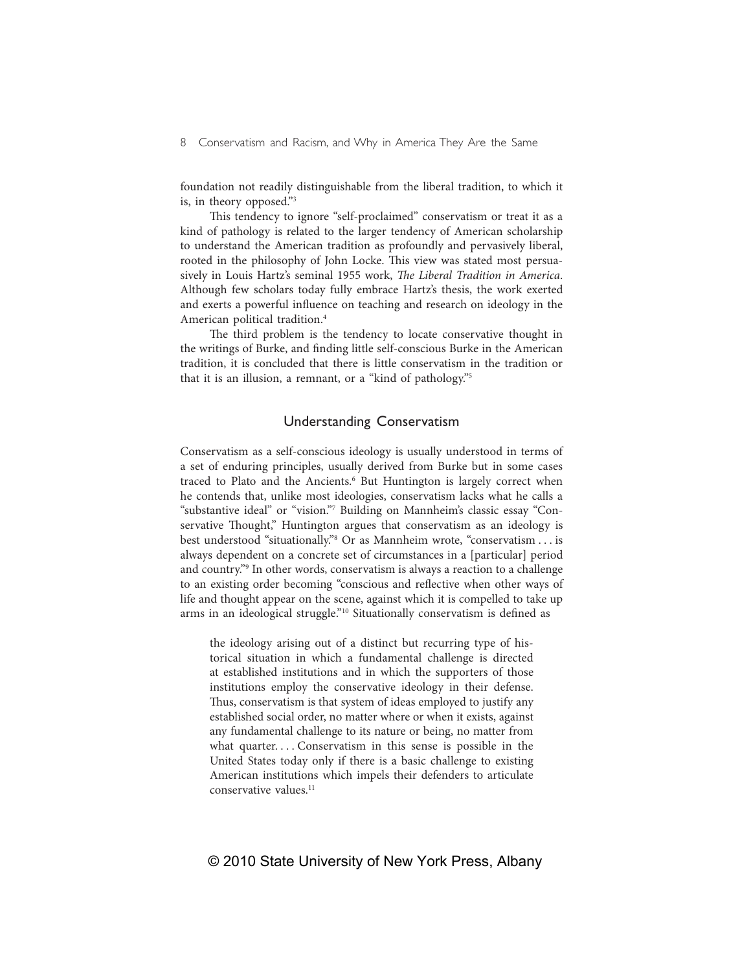foundation not readily distinguishable from the liberal tradition, to which it is, in theory opposed."<sup>3</sup>

This tendency to ignore "self-proclaimed" conservatism or treat it as a kind of pathology is related to the larger tendency of American scholarship to understand the American tradition as profoundly and pervasively liberal, rooted in the philosophy of John Locke. This view was stated most persuasively in Louis Hartz's seminal 1955 work, The Liberal Tradition in America. Although few scholars today fully embrace Hartz's thesis, the work exerted and exerts a powerful influence on teaching and research on ideology in the American political tradition.4

The third problem is the tendency to locate conservative thought in the writings of Burke, and finding little self-conscious Burke in the American tradition, it is concluded that there is little conservatism in the tradition or that it is an illusion, a remnant, or a "kind of pathology."5

### Understanding Conservatism

Conservatism as a self-conscious ideology is usually understood in terms of a set of enduring principles, usually derived from Burke but in some cases traced to Plato and the Ancients.<sup>6</sup> But Huntington is largely correct when he contends that, unlike most ideologies, conservatism lacks what he calls a "substantive ideal" or "vision."7 Building on Mannheim's classic essay "Conservative Thought," Huntington argues that conservatism as an ideology is best understood "situationally."8 Or as Mannheim wrote, "conservatism . . . is always dependent on a concrete set of circumstances in a [particular] period and country."9 In other words, conservatism is always a reaction to a challenge to an existing order becoming "conscious and reflective when other ways of life and thought appear on the scene, against which it is compelled to take up arms in an ideological struggle."<sup>10</sup> Situationally conservatism is defined as

the ideology arising out of a distinct but recurring type of historical situation in which a fundamental challenge is directed at established institutions and in which the supporters of those institutions employ the conservative ideology in their defense. Thus, conservatism is that system of ideas employed to justify any established social order, no matter where or when it exists, against any fundamental challenge to its nature or being, no matter from what quarter. . . . Conservatism in this sense is possible in the United States today only if there is a basic challenge to existing American institutions which impels their defenders to articulate conservative values.<sup>11</sup>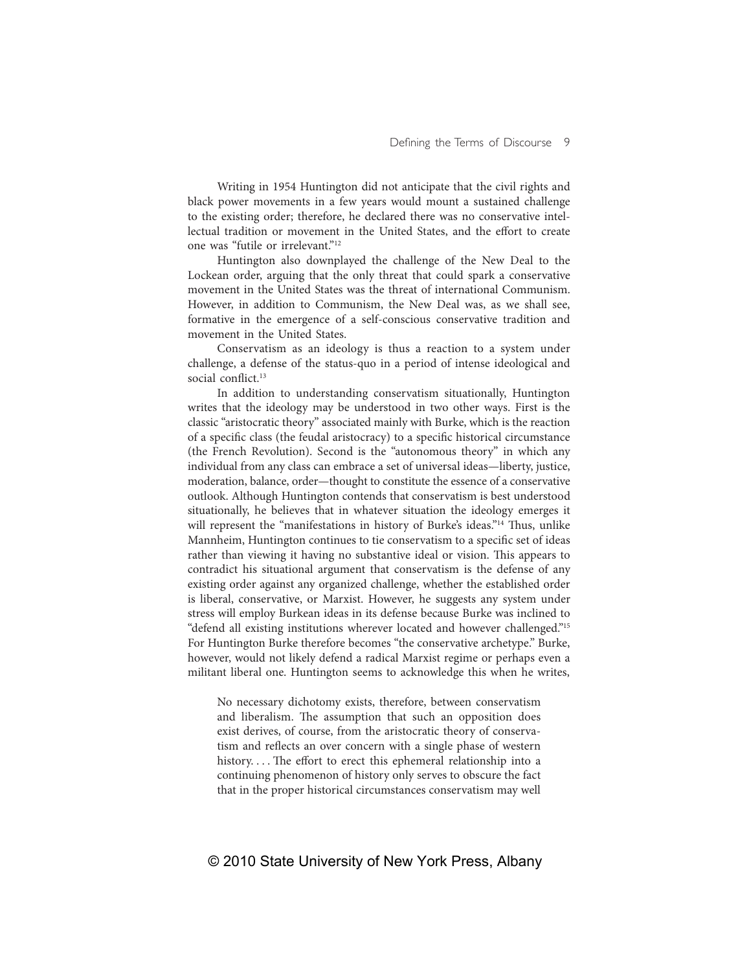Writing in 1954 Huntington did not anticipate that the civil rights and black power movements in a few years would mount a sustained challenge to the existing order; therefore, he declared there was no conservative intellectual tradition or movement in the United States, and the effort to create one was "futile or irrelevant."12

Huntington also downplayed the challenge of the New Deal to the Lockean order, arguing that the only threat that could spark a conservative movement in the United States was the threat of international Communism. However, in addition to Communism, the New Deal was, as we shall see, formative in the emergence of a self-conscious conservative tradition and movement in the United States.

Conservatism as an ideology is thus a reaction to a system under challenge, a defense of the status-quo in a period of intense ideological and social conflict. $13$ 

In addition to understanding conservatism situationally, Huntington writes that the ideology may be understood in two other ways. First is the classic "aristocratic theory" associated mainly with Burke, which is the reaction of a specific class (the feudal aristocracy) to a specific historical circumstance (the French Revolution). Second is the "autonomous theory" in which any individual from any class can embrace a set of universal ideas—liberty, justice, moderation, balance, order—thought to constitute the essence of a conservative outlook. Although Huntington contends that conservatism is best understood situationally, he believes that in whatever situation the ideology emerges it will represent the "manifestations in history of Burke's ideas."<sup>14</sup> Thus, unlike Mannheim, Huntington continues to tie conservatism to a specific set of ideas rather than viewing it having no substantive ideal or vision. This appears to contradict his situational argument that conservatism is the defense of any existing order against any organized challenge, whether the established order is liberal, conservative, or Marxist. However, he suggests any system under stress will employ Burkean ideas in its defense because Burke was inclined to "defend all existing institutions wherever located and however challenged."15 For Huntington Burke therefore becomes "the conservative archetype." Burke, however, would not likely defend a radical Marxist regime or perhaps even a militant liberal one. Huntington seems to acknowledge this when he writes,

No necessary dichotomy exists, therefore, between conservatism and liberalism. The assumption that such an opposition does exist derives, of course, from the aristocratic theory of conservatism and reflects an over concern with a single phase of western history.... The effort to erect this ephemeral relationship into a continuing phenomenon of history only serves to obscure the fact that in the proper historical circumstances conservatism may well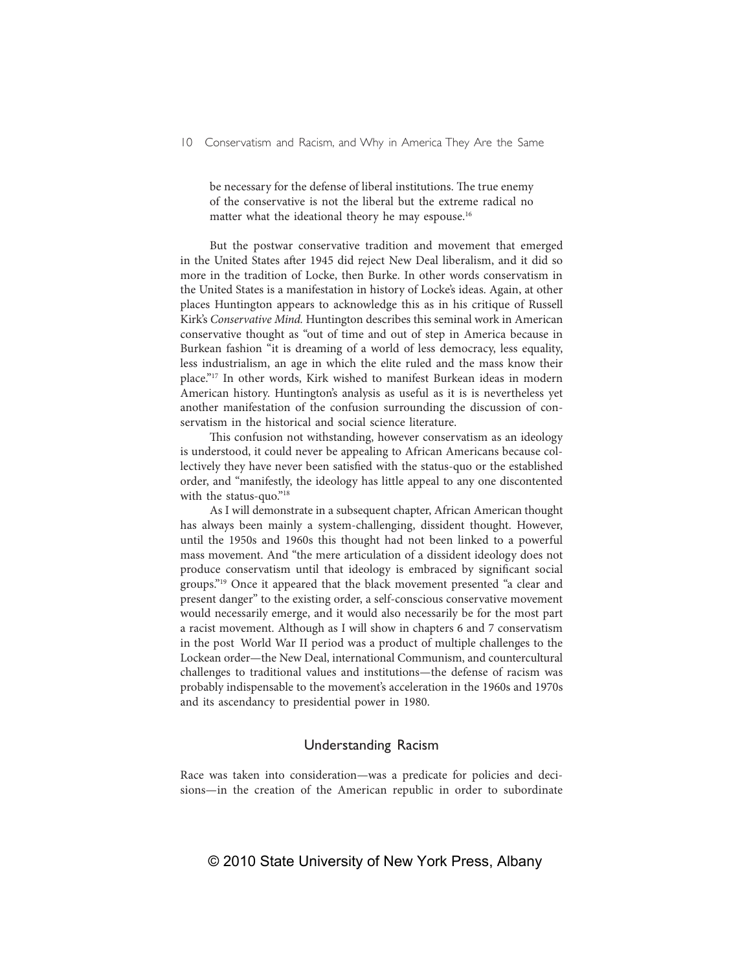be necessary for the defense of liberal institutions. The true enemy of the conservative is not the liberal but the extreme radical no matter what the ideational theory he may espouse.<sup>16</sup>

But the postwar conservative tradition and movement that emerged in the United States after 1945 did reject New Deal liberalism, and it did so more in the tradition of Locke, then Burke. In other words conservatism in the United States is a manifestation in history of Locke's ideas. Again, at other places Huntington appears to acknowledge this as in his critique of Russell Kirk's Conservative Mind. Huntington describes this seminal work in American conservative thought as "out of time and out of step in America because in Burkean fashion "it is dreaming of a world of less democracy, less equality, less industrialism, an age in which the elite ruled and the mass know their place."17 In other words, Kirk wished to manifest Burkean ideas in modern American history. Huntington's analysis as useful as it is is nevertheless yet another manifestation of the confusion surrounding the discussion of conservatism in the historical and social science literature.

This confusion not withstanding, however conservatism as an ideology is understood, it could never be appealing to African Americans because collectively they have never been satisfied with the status-quo or the established order, and "manifestly, the ideology has little appeal to any one discontented with the status-quo."<sup>18</sup>

As I will demonstrate in a subsequent chapter, African American thought has always been mainly a system-challenging, dissident thought. However, until the 1950s and 1960s this thought had not been linked to a powerful mass movement. And "the mere articulation of a dissident ideology does not produce conservatism until that ideology is embraced by significant social groups."19 Once it appeared that the black movement presented "a clear and present danger" to the existing order, a self-conscious conservative movement would necessarily emerge, and it would also necessarily be for the most part a racist movement. Although as I will show in chapters 6 and 7 conservatism in the post World War II period was a product of multiple challenges to the Lockean order—the New Deal, international Communism, and countercultural challenges to traditional values and institutions—the defense of racism was probably indispensable to the movement's acceleration in the 1960s and 1970s and its ascendancy to presidential power in 1980.

## Understanding Racism

Race was taken into consideration—was a predicate for policies and decisions—in the creation of the American republic in order to subordinate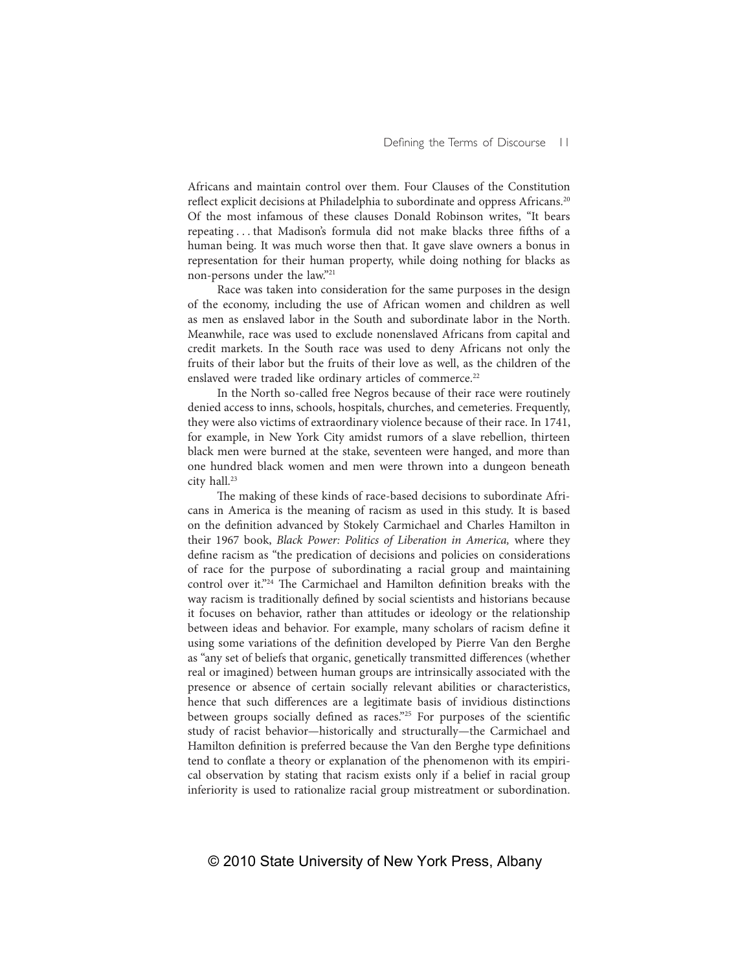Africans and maintain control over them. Four Clauses of the Constitution reflect explicit decisions at Philadelphia to subordinate and oppress Africans.<sup>20</sup> Of the most infamous of these clauses Donald Robinson writes, "It bears repeating . . . that Madison's formula did not make blacks three fifths of a human being. It was much worse then that. It gave slave owners a bonus in representation for their human property, while doing nothing for blacks as non-persons under the law."21

Race was taken into consideration for the same purposes in the design of the economy, including the use of African women and children as well as men as enslaved labor in the South and subordinate labor in the North. Meanwhile, race was used to exclude nonenslaved Africans from capital and credit markets. In the South race was used to deny Africans not only the fruits of their labor but the fruits of their love as well, as the children of the enslaved were traded like ordinary articles of commerce.<sup>22</sup>

In the North so-called free Negros because of their race were routinely denied access to inns, schools, hospitals, churches, and cemeteries. Frequently, they were also victims of extraordinary violence because of their race. In 1741, for example, in New York City amidst rumors of a slave rebellion, thirteen black men were burned at the stake, seventeen were hanged, and more than one hundred black women and men were thrown into a dungeon beneath city hall.<sup>23</sup>

The making of these kinds of race-based decisions to subordinate Africans in America is the meaning of racism as used in this study. It is based on the definition advanced by Stokely Carmichael and Charles Hamilton in their 1967 book, Black Power: Politics of Liberation in America, where they define racism as "the predication of decisions and policies on considerations of race for the purpose of subordinating a racial group and maintaining control over it."<sup>24</sup> The Carmichael and Hamilton definition breaks with the way racism is traditionally defined by social scientists and historians because it focuses on behavior, rather than attitudes or ideology or the relationship between ideas and behavior. For example, many scholars of racism define it using some variations of the definition developed by Pierre Van den Berghe as "any set of beliefs that organic, genetically transmitted differences (whether real or imagined) between human groups are intrinsically associated with the presence or absence of certain socially relevant abilities or characteristics, hence that such differences are a legitimate basis of invidious distinctions between groups socially defined as races."<sup>25</sup> For purposes of the scientific study of racist behavior—historically and structurally—the Carmichael and Hamilton definition is preferred because the Van den Berghe type definitions tend to conflate a theory or explanation of the phenomenon with its empirical observation by stating that racism exists only if a belief in racial group inferiority is used to rationalize racial group mistreatment or subordination.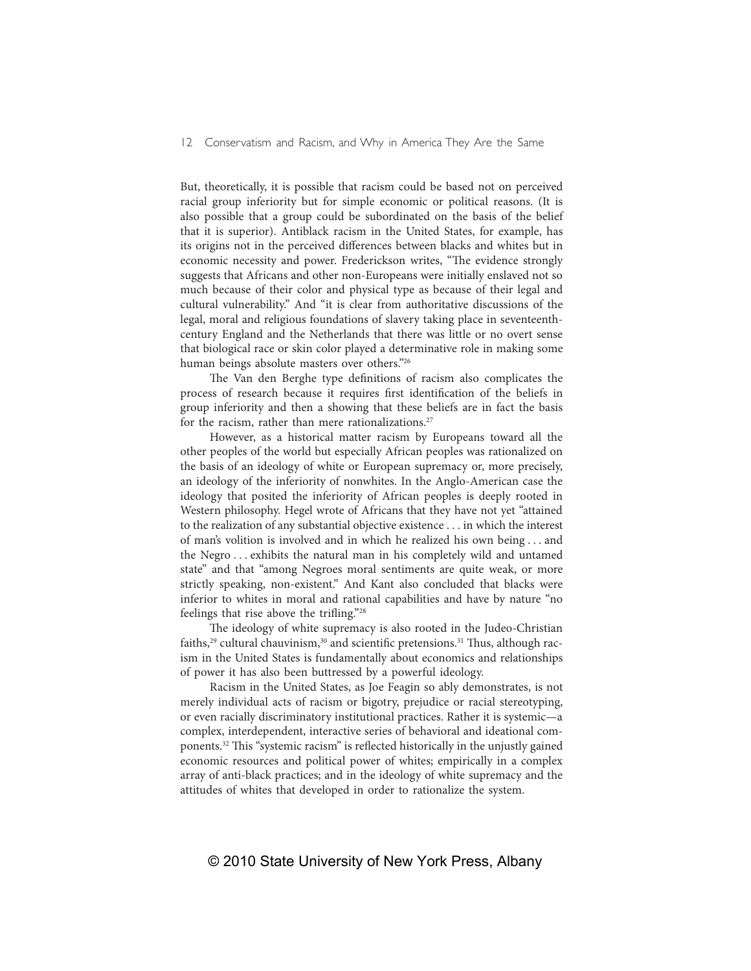#### 12 Conservatism and Racism, and Why in America They Are the Same

But, theoretically, it is possible that racism could be based not on perceived racial group inferiority but for simple economic or political reasons. (It is also possible that a group could be subordinated on the basis of the belief that it is superior). Antiblack racism in the United States, for example, has its origins not in the perceived differences between blacks and whites but in economic necessity and power. Frederickson writes, "The evidence strongly suggests that Africans and other non-Europeans were initially enslaved not so much because of their color and physical type as because of their legal and cultural vulnerability." And "it is clear from authoritative discussions of the legal, moral and religious foundations of slavery taking place in seventeenthcentury England and the Netherlands that there was little or no overt sense that biological race or skin color played a determinative role in making some human beings absolute masters over others."26

The Van den Berghe type definitions of racism also complicates the process of research because it requires first identification of the beliefs in group inferiority and then a showing that these beliefs are in fact the basis for the racism, rather than mere rationalizations.<sup>27</sup>

However, as a historical matter racism by Europeans toward all the other peoples of the world but especially African peoples was rationalized on the basis of an ideology of white or European supremacy or, more precisely, an ideology of the inferiority of nonwhites. In the Anglo-American case the ideology that posited the inferiority of African peoples is deeply rooted in Western philosophy. Hegel wrote of Africans that they have not yet "attained to the realization of any substantial objective existence . . . in which the interest of man's volition is involved and in which he realized his own being . . . and the Negro . . . exhibits the natural man in his completely wild and untamed state" and that "among Negroes moral sentiments are quite weak, or more strictly speaking, non-existent." And Kant also concluded that blacks were inferior to whites in moral and rational capabilities and have by nature "no feelings that rise above the trifling."<sup>28</sup>

The ideology of white supremacy is also rooted in the Judeo-Christian faiths,<sup>29</sup> cultural chauvinism,<sup>30</sup> and scientific pretensions.<sup>31</sup> Thus, although racism in the United States is fundamentally about economics and relationships of power it has also been buttressed by a powerful ideology.

Racism in the United States, as Joe Feagin so ably demonstrates, is not merely individual acts of racism or bigotry, prejudice or racial stereotyping, or even racially discriminatory institutional practices. Rather it is systemic—a complex, interdependent, interactive series of behavioral and ideational components.<sup>32</sup> This "systemic racism" is reflected historically in the unjustly gained economic resources and political power of whites; empirically in a complex array of anti-black practices; and in the ideology of white supremacy and the attitudes of whites that developed in order to rationalize the system.